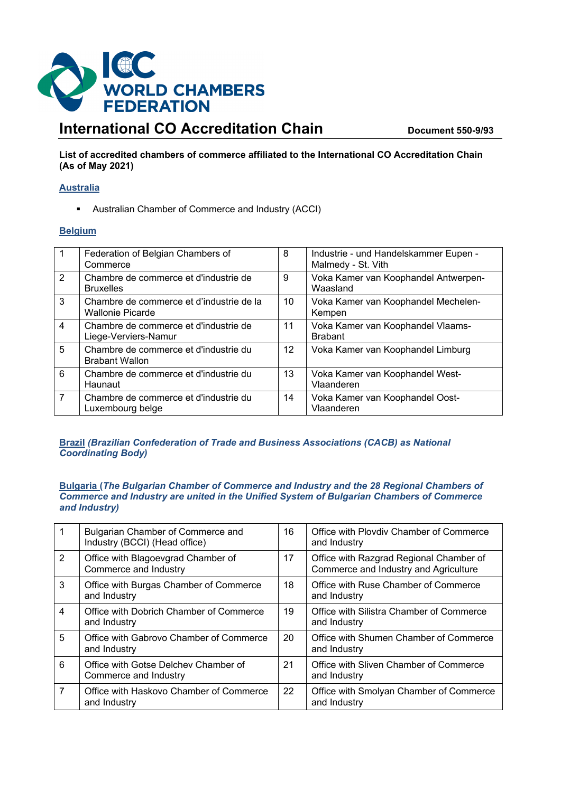

# **International CO Accreditation Chain Document 550-9/93**

**List of accredited chambers of commerce affiliated to the International CO Accreditation Chain (As of May 2021)**

### **Australia**

Australian Chamber of Commerce and Industry (ACCI)

# **Belgium**

|   | Federation of Belgian Chambers of<br>Commerce                       | 8               | Industrie - und Handelskammer Eupen -<br>Malmedy - St. Vith |
|---|---------------------------------------------------------------------|-----------------|-------------------------------------------------------------|
| 2 | Chambre de commerce et d'industrie de<br><b>Bruxelles</b>           | 9               | Voka Kamer van Koophandel Antwerpen-<br>Waasland            |
| 3 | Chambre de commerce et d'industrie de la<br><b>Wallonie Picarde</b> | 10              | Voka Kamer van Koophandel Mechelen-<br>Kempen               |
| 4 | Chambre de commerce et d'industrie de<br>Liege-Verviers-Namur       | 11              | Voka Kamer van Koophandel Vlaams-<br><b>Brabant</b>         |
| 5 | Chambre de commerce et d'industrie du<br><b>Brabant Wallon</b>      | 12 <sup>2</sup> | Voka Kamer van Koophandel Limburg                           |
| 6 | Chambre de commerce et d'industrie du<br>Haunaut                    | 13              | Voka Kamer van Koophandel West-<br>Vlaanderen               |
| 7 | Chambre de commerce et d'industrie du<br>Luxembourg belge           | 14              | Voka Kamer van Koophandel Oost-<br>Vlaanderen               |

# **Brazil** *(Brazilian Confederation of Trade and Business Associations (CACB) as National Coordinating Body)*

#### **Bulgaria (***The Bulgarian Chamber of Commerce and Industry and the 28 Regional Chambers of Commerce and Industry are united in the Unified System of Bulgarian Chambers of Commerce and Industry)*

|   | Bulgarian Chamber of Commerce and<br>Industry (BCCI) (Head office) | 16 | Office with Plovdiv Chamber of Commerce<br>and Industry                          |
|---|--------------------------------------------------------------------|----|----------------------------------------------------------------------------------|
| 2 | Office with Blagoevgrad Chamber of<br>Commerce and Industry        | 17 | Office with Razgrad Regional Chamber of<br>Commerce and Industry and Agriculture |
| 3 | Office with Burgas Chamber of Commerce<br>and Industry             | 18 | Office with Ruse Chamber of Commerce<br>and Industry                             |
| 4 | Office with Dobrich Chamber of Commerce<br>and Industry            | 19 | Office with Silistra Chamber of Commerce<br>and Industry                         |
| 5 | Office with Gabrovo Chamber of Commerce<br>and Industry            | 20 | Office with Shumen Chamber of Commerce<br>and Industry                           |
| 6 | Office with Gotse Delchey Chamber of<br>Commerce and Industry      | 21 | Office with Sliven Chamber of Commerce<br>and Industry                           |
| 7 | Office with Haskovo Chamber of Commerce<br>and Industry            | 22 | Office with Smolyan Chamber of Commerce<br>and Industry                          |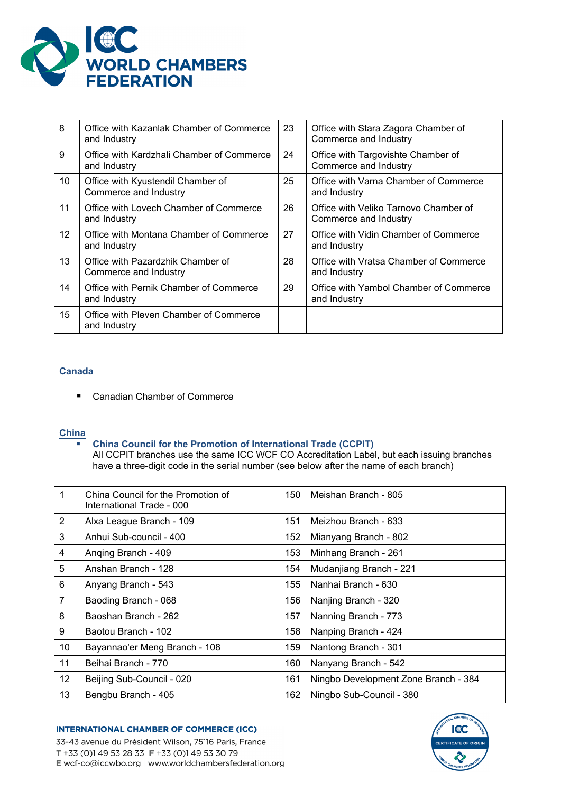

| 8  | Office with Kazanlak Chamber of Commerce<br>and Industry   | 23 | Office with Stara Zagora Chamber of<br>Commerce and Industry   |
|----|------------------------------------------------------------|----|----------------------------------------------------------------|
| 9  | Office with Kardzhali Chamber of Commerce<br>and Industry  | 24 | Office with Targovishte Chamber of<br>Commerce and Industry    |
| 10 | Office with Kyustendil Chamber of<br>Commerce and Industry | 25 | Office with Varna Chamber of Commerce<br>and Industry          |
| 11 | Office with Lovech Chamber of Commerce<br>and Industry     | 26 | Office with Veliko Tarnovo Chamber of<br>Commerce and Industry |
| 12 | Office with Montana Chamber of Commerce<br>and Industry    | 27 | Office with Vidin Chamber of Commerce<br>and Industry          |
| 13 | Office with Pazardzhik Chamber of<br>Commerce and Industry | 28 | Office with Vratsa Chamber of Commerce<br>and Industry         |
| 14 | Office with Pernik Chamber of Commerce<br>and Industry     | 29 | Office with Yambol Chamber of Commerce<br>and Industry         |
| 15 | Office with Pleven Chamber of Commerce<br>and Industry     |    |                                                                |

# **Canada**

■ Canadian Chamber of Commerce

### **China**

### **China Council for the Promotion of International Trade (CCPIT)**

All CCPIT branches use the same ICC WCF CO Accreditation Label, but each issuing branches have a three-digit code in the serial number (see below after the name of each branch)

| $\mathbf{1}$   | China Council for the Promotion of<br>International Trade - 000 | 150 | Meishan Branch - 805                 |
|----------------|-----------------------------------------------------------------|-----|--------------------------------------|
| 2              | Alxa League Branch - 109                                        | 151 | Meizhou Branch - 633                 |
| 3              | Anhui Sub-council - 400                                         | 152 | Mianyang Branch - 802                |
| 4              | Anging Branch - 409                                             | 153 | Minhang Branch - 261                 |
| 5              | Anshan Branch - 128                                             | 154 | Mudanjiang Branch - 221              |
| 6              | Anyang Branch - 543                                             | 155 | Nanhai Branch - 630                  |
| $\overline{7}$ | Baoding Branch - 068                                            | 156 | Nanjing Branch - 320                 |
| 8              | Baoshan Branch - 262                                            | 157 | Nanning Branch - 773                 |
| 9              | Baotou Branch - 102                                             | 158 | Nanping Branch - 424                 |
| 10             | Bayannao'er Meng Branch - 108                                   | 159 | Nantong Branch - 301                 |
| 11             | Beihai Branch - 770                                             | 160 | Nanyang Branch - 542                 |
| 12             | Beijing Sub-Council - 020                                       | 161 | Ningbo Development Zone Branch - 384 |
| 13             | Bengbu Branch - 405                                             | 162 | Ningbo Sub-Council - 380             |

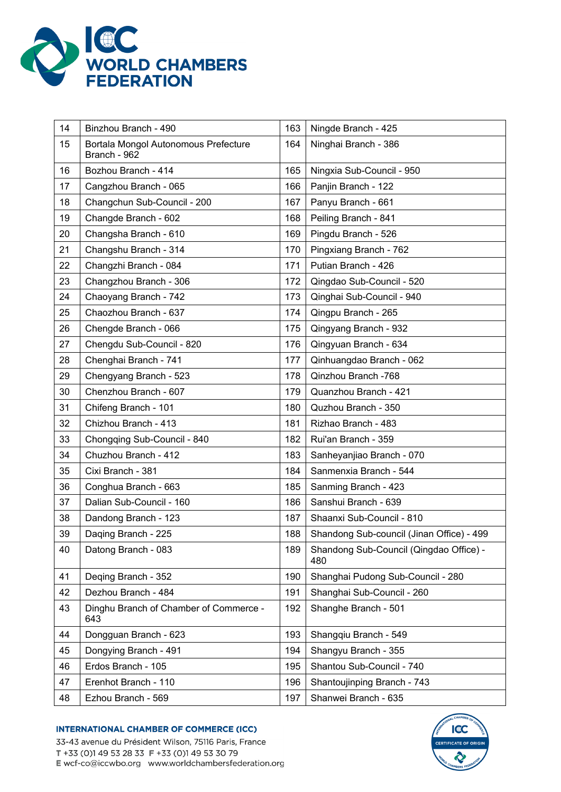

| 14 | Binzhou Branch - 490                                 | 163 | Ningde Branch - 425                            |
|----|------------------------------------------------------|-----|------------------------------------------------|
| 15 | Bortala Mongol Autonomous Prefecture<br>Branch - 962 | 164 | Ninghai Branch - 386                           |
| 16 | Bozhou Branch - 414                                  | 165 | Ningxia Sub-Council - 950                      |
| 17 | Cangzhou Branch - 065                                | 166 | Panjin Branch - 122                            |
| 18 | Changchun Sub-Council - 200                          | 167 | Panyu Branch - 661                             |
| 19 | Changde Branch - 602                                 | 168 | Peiling Branch - 841                           |
| 20 | Changsha Branch - 610                                | 169 | Pingdu Branch - 526                            |
| 21 | Changshu Branch - 314                                | 170 | Pingxiang Branch - 762                         |
| 22 | Changzhi Branch - 084                                | 171 | Putian Branch - 426                            |
| 23 | Changzhou Branch - 306                               | 172 | Qingdao Sub-Council - 520                      |
| 24 | Chaoyang Branch - 742                                | 173 | Qinghai Sub-Council - 940                      |
| 25 | Chaozhou Branch - 637                                | 174 | Qingpu Branch - 265                            |
| 26 | Chengde Branch - 066                                 | 175 | Qingyang Branch - 932                          |
| 27 | Chengdu Sub-Council - 820                            | 176 | Qingyuan Branch - 634                          |
| 28 | Chenghai Branch - 741                                | 177 | Qinhuangdao Branch - 062                       |
| 29 | Chengyang Branch - 523                               | 178 | Qinzhou Branch -768                            |
| 30 | Chenzhou Branch - 607                                | 179 | Quanzhou Branch - 421                          |
| 31 | Chifeng Branch - 101                                 | 180 | Quzhou Branch - 350                            |
| 32 | Chizhou Branch - 413                                 | 181 | Rizhao Branch - 483                            |
| 33 | Chongqing Sub-Council - 840                          | 182 | Rui'an Branch - 359                            |
| 34 | Chuzhou Branch - 412                                 | 183 | Sanheyanjiao Branch - 070                      |
| 35 | Cixi Branch - 381                                    | 184 | Sanmenxia Branch - 544                         |
| 36 | Conghua Branch - 663                                 | 185 | Sanming Branch - 423                           |
| 37 | Dalian Sub-Council - 160                             | 186 | Sanshui Branch - 639                           |
| 38 | Dandong Branch - 123                                 | 187 | Shaanxi Sub-Council - 810                      |
| 39 | Daqing Branch - 225                                  | 188 | Shandong Sub-council (Jinan Office) - 499      |
| 40 | Datong Branch - 083                                  | 189 | Shandong Sub-Council (Qingdao Office) -<br>480 |
| 41 | Deqing Branch - 352                                  | 190 | Shanghai Pudong Sub-Council - 280              |
| 42 | Dezhou Branch - 484                                  | 191 | Shanghai Sub-Council - 260                     |
| 43 | Dinghu Branch of Chamber of Commerce -<br>643        | 192 | Shanghe Branch - 501                           |
| 44 | Dongguan Branch - 623                                | 193 | Shangqiu Branch - 549                          |
| 45 | Dongying Branch - 491                                | 194 | Shangyu Branch - 355                           |
| 46 | Erdos Branch - 105                                   | 195 | Shantou Sub-Council - 740                      |
| 47 | Erenhot Branch - 110                                 | 196 | Shantoujinping Branch - 743                    |
| 48 | Ezhou Branch - 569                                   | 197 | Shanwei Branch - 635                           |



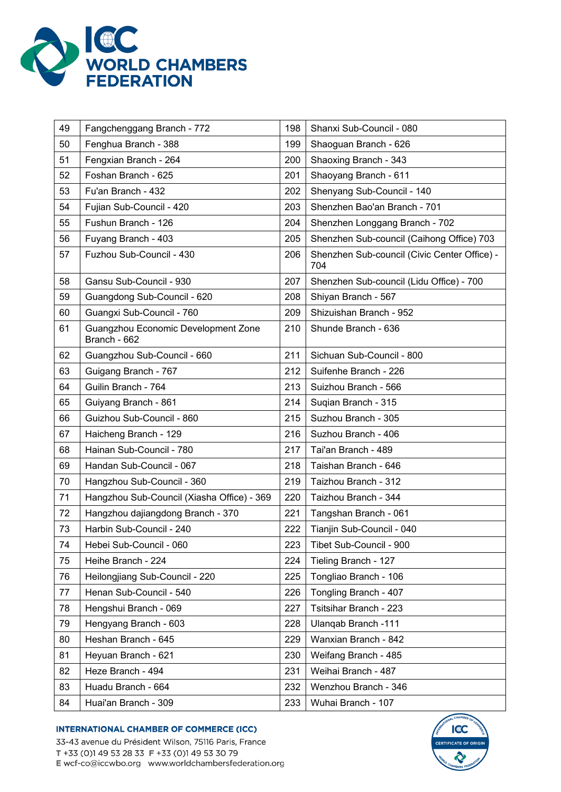

| 49 | Fangchenggang Branch - 772                          | 198 | Shanxi Sub-Council - 080                            |
|----|-----------------------------------------------------|-----|-----------------------------------------------------|
| 50 | Fenghua Branch - 388                                | 199 | Shaoguan Branch - 626                               |
| 51 | Fengxian Branch - 264                               | 200 | Shaoxing Branch - 343                               |
| 52 | Foshan Branch - 625                                 | 201 | Shaoyang Branch - 611                               |
| 53 | Fu'an Branch - 432                                  | 202 | Shenyang Sub-Council - 140                          |
| 54 | Fujian Sub-Council - 420                            | 203 | Shenzhen Bao'an Branch - 701                        |
| 55 | Fushun Branch - 126                                 | 204 | Shenzhen Longgang Branch - 702                      |
| 56 | Fuyang Branch - 403                                 | 205 | Shenzhen Sub-council (Caihong Office) 703           |
| 57 | Fuzhou Sub-Council - 430                            | 206 | Shenzhen Sub-council (Civic Center Office) -<br>704 |
| 58 | Gansu Sub-Council - 930                             | 207 | Shenzhen Sub-council (Lidu Office) - 700            |
| 59 | Guangdong Sub-Council - 620                         | 208 | Shiyan Branch - 567                                 |
| 60 | Guangxi Sub-Council - 760                           | 209 | Shizuishan Branch - 952                             |
| 61 | Guangzhou Economic Development Zone<br>Branch - 662 | 210 | Shunde Branch - 636                                 |
| 62 | Guangzhou Sub-Council - 660                         | 211 | Sichuan Sub-Council - 800                           |
| 63 | Guigang Branch - 767                                | 212 | Suifenhe Branch - 226                               |
| 64 | Guilin Branch - 764                                 | 213 | Suizhou Branch - 566                                |
| 65 | Guiyang Branch - 861                                | 214 | Suqian Branch - 315                                 |
| 66 | Guizhou Sub-Council - 860                           | 215 | Suzhou Branch - 305                                 |
| 67 | Haicheng Branch - 129                               | 216 | Suzhou Branch - 406                                 |
| 68 | Hainan Sub-Council - 780                            | 217 | Tai'an Branch - 489                                 |
| 69 | Handan Sub-Council - 067                            | 218 | Taishan Branch - 646                                |
| 70 | Hangzhou Sub-Council - 360                          | 219 | Taizhou Branch - 312                                |
| 71 | Hangzhou Sub-Council (Xiasha Office) - 369          | 220 | Taizhou Branch - 344                                |
| 72 | Hangzhou dajiangdong Branch - 370                   | 221 | Tangshan Branch - 061                               |
| 73 | Harbin Sub-Council - 240                            | 222 | Tianjin Sub-Council - 040                           |
| 74 | Hebei Sub-Council - 060                             | 223 | Tibet Sub-Council - 900                             |
| 75 | Heihe Branch - 224                                  | 224 | Tieling Branch - 127                                |
| 76 | Heilongjiang Sub-Council - 220                      | 225 | Tongliao Branch - 106                               |
| 77 | Henan Sub-Council - 540                             | 226 | Tongling Branch - 407                               |
| 78 | Hengshui Branch - 069                               | 227 | Tsitsihar Branch - 223                              |
| 79 | Hengyang Branch - 603                               | 228 | Ulanqab Branch -111                                 |
| 80 | Heshan Branch - 645                                 | 229 | Wanxian Branch - 842                                |
| 81 | Heyuan Branch - 621                                 | 230 | Weifang Branch - 485                                |
| 82 | Heze Branch - 494                                   | 231 | Weihai Branch - 487                                 |
| 83 | Huadu Branch - 664                                  | 232 | Wenzhou Branch - 346                                |
| 84 | Huai'an Branch - 309                                | 233 | Wuhai Branch - 107                                  |



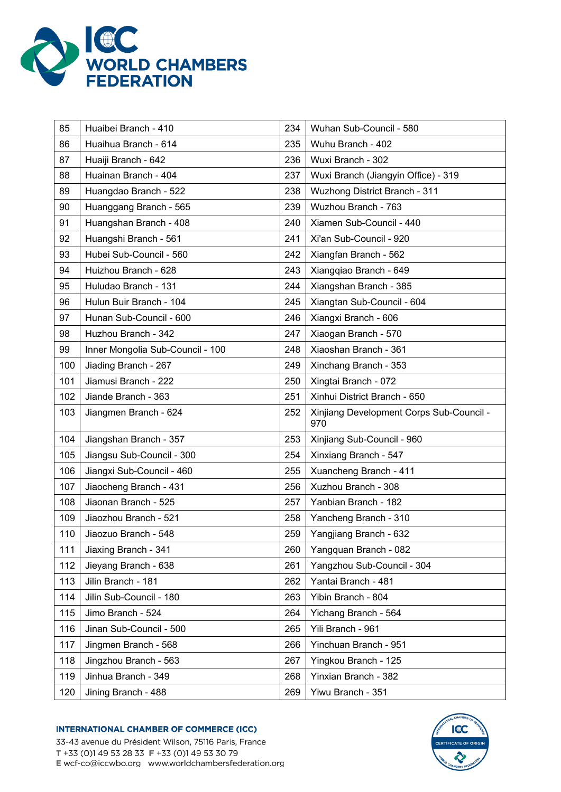

| 85  | Huaibei Branch - 410             | 234 | Wuhan Sub-Council - 580                         |
|-----|----------------------------------|-----|-------------------------------------------------|
| 86  | Huaihua Branch - 614             | 235 | Wuhu Branch - 402                               |
| 87  | Huaiji Branch - 642              | 236 | Wuxi Branch - 302                               |
| 88  | Huainan Branch - 404             | 237 | Wuxi Branch (Jiangyin Office) - 319             |
| 89  | Huangdao Branch - 522            | 238 | <b>Wuzhong District Branch - 311</b>            |
| 90  | Huanggang Branch - 565           | 239 | Wuzhou Branch - 763                             |
| 91  | Huangshan Branch - 408           | 240 | Xiamen Sub-Council - 440                        |
| 92  | Huangshi Branch - 561            | 241 | Xi'an Sub-Council - 920                         |
| 93  | Hubei Sub-Council - 560          | 242 | Xiangfan Branch - 562                           |
| 94  | Huizhou Branch - 628             | 243 | Xiangqiao Branch - 649                          |
| 95  | Huludao Branch - 131             | 244 | Xiangshan Branch - 385                          |
| 96  | Hulun Buir Branch - 104          | 245 | Xiangtan Sub-Council - 604                      |
| 97  | Hunan Sub-Council - 600          | 246 | Xiangxi Branch - 606                            |
| 98  | Huzhou Branch - 342              | 247 | Xiaogan Branch - 570                            |
| 99  | Inner Mongolia Sub-Council - 100 | 248 | Xiaoshan Branch - 361                           |
| 100 | Jiading Branch - 267             | 249 | Xinchang Branch - 353                           |
| 101 | Jiamusi Branch - 222             | 250 | Xingtai Branch - 072                            |
| 102 | Jiande Branch - 363              | 251 | Xinhui District Branch - 650                    |
| 103 | Jiangmen Branch - 624            | 252 | Xinjiang Development Corps Sub-Council -<br>970 |
| 104 | Jiangshan Branch - 357           | 253 | Xinjiang Sub-Council - 960                      |
| 105 | Jiangsu Sub-Council - 300        | 254 | Xinxiang Branch - 547                           |
| 106 | Jiangxi Sub-Council - 460        | 255 | Xuancheng Branch - 411                          |
| 107 | Jiaocheng Branch - 431           | 256 | Xuzhou Branch - 308                             |
| 108 | Jiaonan Branch - 525             | 257 | Yanbian Branch - 182                            |
| 109 | Jiaozhou Branch - 521            | 258 | Yancheng Branch - 310                           |
| 110 | Jiaozuo Branch - 548             | 259 | Yangjiang Branch - 632                          |
| 111 | Jiaxing Branch - 341             | 260 | Yangquan Branch - 082                           |
| 112 | Jieyang Branch - 638             | 261 | Yangzhou Sub-Council - 304                      |
| 113 | Jilin Branch - 181               | 262 | Yantai Branch - 481                             |
| 114 | Jilin Sub-Council - 180          | 263 | Yibin Branch - 804                              |
| 115 | Jimo Branch - 524                | 264 | Yichang Branch - 564                            |
| 116 | Jinan Sub-Council - 500          | 265 | Yili Branch - 961                               |
| 117 | Jingmen Branch - 568             | 266 | Yinchuan Branch - 951                           |
| 118 | Jingzhou Branch - 563            | 267 | Yingkou Branch - 125                            |
| 119 | Jinhua Branch - 349              | 268 | Yinxian Branch - 382                            |
| 120 | Jining Branch - 488              | 269 | Yiwu Branch - 351                               |

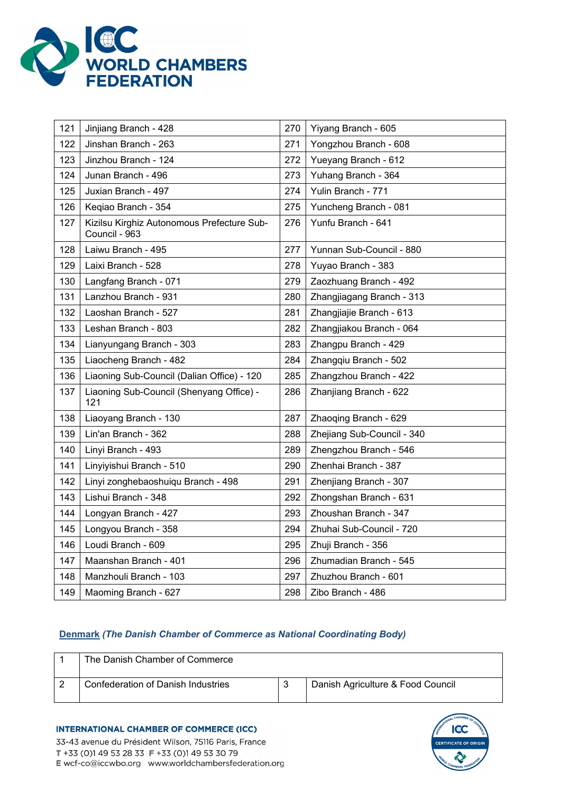

| 121 | Jinjiang Branch - 428                                       | 270 | Yiyang Branch - 605        |
|-----|-------------------------------------------------------------|-----|----------------------------|
| 122 | Jinshan Branch - 263                                        | 271 | Yongzhou Branch - 608      |
| 123 | Jinzhou Branch - 124                                        | 272 | Yueyang Branch - 612       |
| 124 | Junan Branch - 496                                          | 273 | Yuhang Branch - 364        |
| 125 | Juxian Branch - 497                                         | 274 | Yulin Branch - 771         |
| 126 | Keqiao Branch - 354                                         | 275 | Yuncheng Branch - 081      |
| 127 | Kizilsu Kirghiz Autonomous Prefecture Sub-<br>Council - 963 | 276 | Yunfu Branch - 641         |
| 128 | Laiwu Branch - 495                                          | 277 | Yunnan Sub-Council - 880   |
| 129 | Laixi Branch - 528                                          | 278 | Yuyao Branch - 383         |
| 130 | Langfang Branch - 071                                       | 279 | Zaozhuang Branch - 492     |
| 131 | Lanzhou Branch - 931                                        | 280 | Zhangjiagang Branch - 313  |
| 132 | Laoshan Branch - 527                                        | 281 | Zhangjiajie Branch - 613   |
| 133 | Leshan Branch - 803                                         | 282 | Zhangjiakou Branch - 064   |
| 134 | Lianyungang Branch - 303                                    | 283 | Zhangpu Branch - 429       |
| 135 | Liaocheng Branch - 482                                      | 284 | Zhangqiu Branch - 502      |
| 136 | Liaoning Sub-Council (Dalian Office) - 120                  | 285 | Zhangzhou Branch - 422     |
| 137 | Liaoning Sub-Council (Shenyang Office) -<br>121             | 286 | Zhanjiang Branch - 622     |
| 138 | Liaoyang Branch - 130                                       | 287 | Zhaoqing Branch - 629      |
| 139 | Lin'an Branch - 362                                         | 288 | Zhejiang Sub-Council - 340 |
| 140 | Linyi Branch - 493                                          | 289 | Zhengzhou Branch - 546     |
| 141 | Linyiyishui Branch - 510                                    | 290 | Zhenhai Branch - 387       |
| 142 | Linyi zonghebaoshuiqu Branch - 498                          | 291 | Zhenjiang Branch - 307     |
| 143 | Lishui Branch - 348                                         | 292 | Zhongshan Branch - 631     |
| 144 | Longyan Branch - 427                                        | 293 | Zhoushan Branch - 347      |
| 145 | Longyou Branch - 358                                        | 294 | Zhuhai Sub-Council - 720   |
| 146 | Loudi Branch - 609                                          | 295 | Zhuji Branch - 356         |
| 147 | Maanshan Branch - 401                                       | 296 | Zhumadian Branch - 545     |
| 148 | Manzhouli Branch - 103                                      | 297 | Zhuzhou Branch - 601       |
| 149 | Maoming Branch - 627                                        | 298 | Zibo Branch - 486          |

# **Denmark** *(The Danish Chamber of Commerce as National Coordinating Body)*

| The Danish Chamber of Commerce     |                                   |
|------------------------------------|-----------------------------------|
| Confederation of Danish Industries | Danish Agriculture & Food Council |

#### **INTERNATIONAL CHAMBER OF COMMERCE (ICC)**

33-43 avenue du Président Wilson, 75116 Paris, France T +33 (0)1 49 53 28 33 F +33 (0)1 49 53 30 79 E wcf-co@iccwbo.org www.worldchambersfederation.org

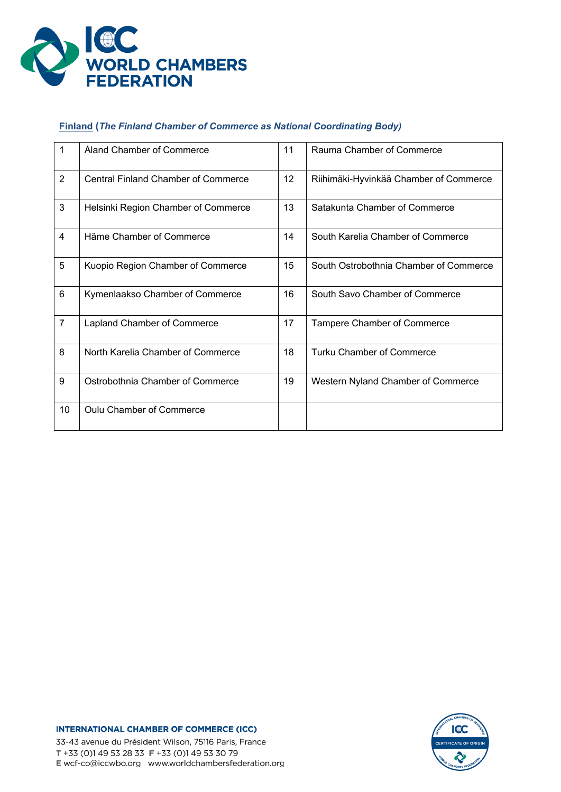

# **Finland (***The Finland Chamber of Commerce as National Coordinating Body)*

| 1              | Åland Chamber of Commerce                  | 11 | Rauma Chamber of Commerce              |
|----------------|--------------------------------------------|----|----------------------------------------|
| $\overline{2}$ | <b>Central Finland Chamber of Commerce</b> | 12 | Riihimäki-Hyvinkää Chamber of Commerce |
| 3              | Helsinki Region Chamber of Commerce        | 13 | Satakunta Chamber of Commerce          |
| $\overline{4}$ | Häme Chamber of Commerce                   | 14 | South Karelia Chamber of Commerce      |
| 5              | Kuopio Region Chamber of Commerce          | 15 | South Ostrobothnia Chamber of Commerce |
| 6              | Kymenlaakso Chamber of Commerce            | 16 | South Savo Chamber of Commerce         |
| $\overline{7}$ | Lapland Chamber of Commerce                | 17 | Tampere Chamber of Commerce            |
| 8              | North Karelia Chamber of Commerce          | 18 | Turku Chamber of Commerce              |
| 9              | Ostrobothnia Chamber of Commerce           | 19 | Western Nyland Chamber of Commerce     |
| 10             | <b>Oulu Chamber of Commerce</b>            |    |                                        |

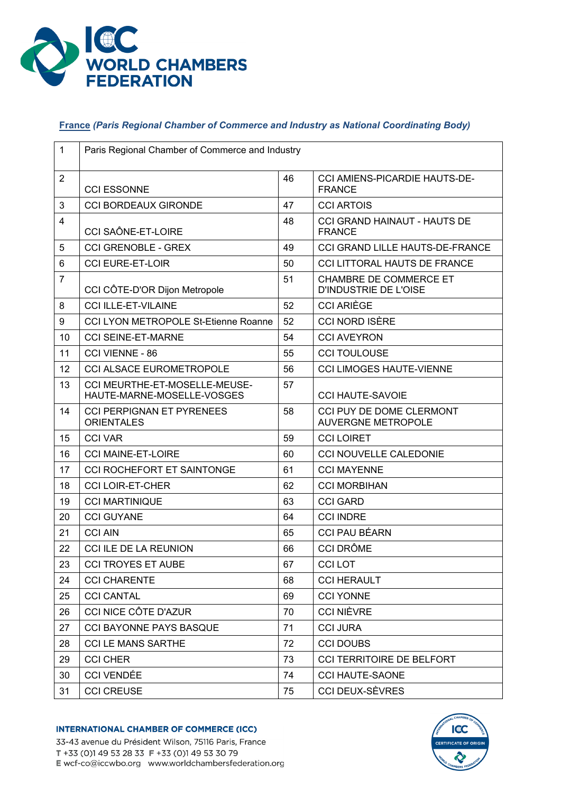

# **France** *(Paris Regional Chamber of Commerce and Industry as National Coordinating Body)*

| $\mathbf{1}$   | Paris Regional Chamber of Commerce and Industry             |    |                                                        |  |  |
|----------------|-------------------------------------------------------------|----|--------------------------------------------------------|--|--|
| $\overline{2}$ | <b>CCI ESSONNE</b>                                          | 46 | <b>CCI AMIENS-PICARDIE HAUTS-DE-</b><br><b>FRANCE</b>  |  |  |
| 3              | <b>CCI BORDEAUX GIRONDE</b>                                 | 47 | <b>CCI ARTOIS</b>                                      |  |  |
| $\overline{4}$ | <b>CCI SAÔNE-ET-LOIRE</b>                                   | 48 | CCI GRAND HAINAUT - HAUTS DE<br><b>FRANCE</b>          |  |  |
| 5              | <b>CCI GRENOBLE - GREX</b>                                  | 49 | CCI GRAND LILLE HAUTS-DE-FRANCE                        |  |  |
| 6              | <b>CCI EURE-ET-LOIR</b>                                     | 50 | <b>CCI LITTORAL HAUTS DE FRANCE</b>                    |  |  |
| $\overline{7}$ | CCI CÔTE-D'OR Dijon Metropole                               | 51 | <b>CHAMBRE DE COMMERCE ET</b><br>D'INDUSTRIE DE L'OISE |  |  |
| 8              | <b>CCI ILLE-ET-VILAINE</b>                                  | 52 | <b>CCI ARIÈGE</b>                                      |  |  |
| 9              | <b>CCI LYON METROPOLE St-Etienne Roanne</b>                 | 52 | <b>CCI NORD ISÈRE</b>                                  |  |  |
| 10             | <b>CCI SEINE-ET-MARNE</b>                                   | 54 | <b>CCI AVEYRON</b>                                     |  |  |
| 11             | CCI VIENNE - 86                                             | 55 | <b>CCI TOULOUSE</b>                                    |  |  |
| 12             | <b>CCI ALSACE EUROMETROPOLE</b>                             | 56 | <b>CCI LIMOGES HAUTE-VIENNE</b>                        |  |  |
| 13             | CCI MEURTHE-ET-MOSELLE-MEUSE-<br>HAUTE-MARNE-MOSELLE-VOSGES | 57 | <b>CCI HAUTE-SAVOIE</b>                                |  |  |
| 14             | <b>CCI PERPIGNAN ET PYRENEES</b><br><b>ORIENTALES</b>       | 58 | CCI PUY DE DOME CLERMONT<br><b>AUVERGNE METROPOLE</b>  |  |  |
| 15             | <b>CCI VAR</b>                                              | 59 | <b>CCI LOIRET</b>                                      |  |  |
| 16             | <b>CCI MAINE-ET-LOIRE</b>                                   | 60 | CCI NOUVELLE CALEDONIE                                 |  |  |
| 17             | <b>CCI ROCHEFORT ET SAINTONGE</b>                           | 61 | <b>CCI MAYENNE</b>                                     |  |  |
| 18             | <b>CCI LOIR-ET-CHER</b>                                     | 62 | <b>CCI MORBIHAN</b>                                    |  |  |
| 19             | <b>CCI MARTINIQUE</b>                                       | 63 | <b>CCI GARD</b>                                        |  |  |
| 20             | <b>CCI GUYANE</b>                                           | 64 | <b>CCI INDRE</b>                                       |  |  |
| 21             | <b>CCI AIN</b>                                              | 65 | <b>CCI PAU BÉARN</b>                                   |  |  |
| 22             | CCI ILE DE LA REUNION                                       | 66 | <b>CCI DRÔME</b>                                       |  |  |
| 23             | <b>CCI TROYES ET AUBE</b>                                   | 67 | <b>CCILOT</b>                                          |  |  |
| 24             | <b>CCI CHARENTE</b>                                         | 68 | <b>CCI HERAULT</b>                                     |  |  |
| 25             | <b>CCI CANTAL</b>                                           | 69 | <b>CCI YONNE</b>                                       |  |  |
| 26             | CCI NICE CÔTE D'AZUR                                        | 70 | <b>CCI NIÈVRE</b>                                      |  |  |
| 27             | <b>CCI BAYONNE PAYS BASQUE</b>                              | 71 | <b>CCI JURA</b>                                        |  |  |
| 28             | <b>CCI LE MANS SARTHE</b>                                   | 72 | <b>CCI DOUBS</b>                                       |  |  |
| 29             | <b>CCI CHER</b>                                             | 73 | CCI TERRITOIRE DE BELFORT                              |  |  |
| 30             | <b>CCI VENDÉE</b>                                           | 74 | <b>CCI HAUTE-SAONE</b>                                 |  |  |
| 31             | <b>CCI CREUSE</b>                                           | 75 | CCI DEUX-SÈVRES                                        |  |  |



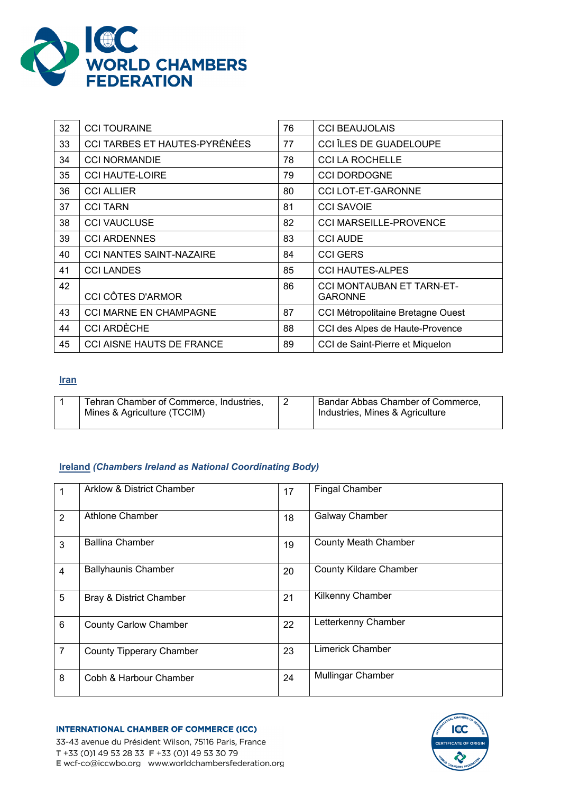

| 32 | <b>CCI TOURAINE</b>              | 76 | <b>CCI BEAUJOLAIS</b>                       |
|----|----------------------------------|----|---------------------------------------------|
| 33 | CCI TARBES ET HAUTES-PYRÉNÉES    | 77 | CCI ÎLES DE GUADELOUPE                      |
| 34 | <b>CCI NORMANDIE</b>             | 78 | <b>CCI LA ROCHELLE</b>                      |
| 35 | <b>CCI HAUTE-LOIRE</b>           | 79 | <b>CCI DORDOGNE</b>                         |
| 36 | <b>CCI ALLIER</b>                | 80 | <b>CCI LOT-ET-GARONNE</b>                   |
| 37 | <b>CCI TARN</b>                  | 81 | <b>CCI SAVOIE</b>                           |
| 38 | <b>CCI VAUCLUSE</b>              | 82 | <b>CCI MARSEILLE-PROVENCE</b>               |
| 39 | <b>CCI ARDENNES</b>              | 83 | <b>CCI AUDE</b>                             |
| 40 | <b>CCI NANTES SAINT-NAZAIRE</b>  | 84 | <b>CCI GERS</b>                             |
| 41 | <b>CCI LANDES</b>                | 85 | <b>CCI HAUTES-ALPES</b>                     |
| 42 | <b>CCI CÔTES D'ARMOR</b>         | 86 | CCI MONTAUBAN ET TARN-ET-<br><b>GARONNE</b> |
| 43 | <b>CCI MARNE EN CHAMPAGNE</b>    | 87 | CCI Métropolitaine Bretagne Ouest           |
| 44 | <b>CCI ARDÈCHE</b>               | 88 | CCI des Alpes de Haute-Provence             |
| 45 | <b>CCI AISNE HAUTS DE FRANCE</b> | 89 | CCI de Saint-Pierre et Miquelon             |

### **Iran**

| Tehran Chamber of Commerce, Industries,<br>Mines & Agriculture (TCCIM) | Bandar Abbas Chamber of Commerce,<br>Industries, Mines & Agriculture |
|------------------------------------------------------------------------|----------------------------------------------------------------------|
|                                                                        |                                                                      |

### **Ireland** *(Chambers Ireland as National Coordinating Body)*

|                | <b>Arklow &amp; District Chamber</b> | 17 | <b>Fingal Chamber</b>         |
|----------------|--------------------------------------|----|-------------------------------|
| $\overline{2}$ | Athlone Chamber                      | 18 | <b>Galway Chamber</b>         |
| 3              | <b>Ballina Chamber</b>               | 19 | <b>County Meath Chamber</b>   |
| $\overline{4}$ | <b>Ballyhaunis Chamber</b>           | 20 | <b>County Kildare Chamber</b> |
| 5              | Bray & District Chamber              | 21 | <b>Kilkenny Chamber</b>       |
| $6\phantom{1}$ | <b>County Carlow Chamber</b>         | 22 | Letterkenny Chamber           |
| $\overline{7}$ | <b>County Tipperary Chamber</b>      | 23 | <b>Limerick Chamber</b>       |
| 8              | Cobh & Harbour Chamber               | 24 | <b>Mullingar Chamber</b>      |

**INTERNATIONAL CHAMBER OF COMMERCE (ICC)** 33-43 avenue du Président Wilson, 75116 Paris, France T +33 (0)1 49 53 28 33 F +33 (0)1 49 53 30 79 E wcf-co@iccwbo.org www.worldchambersfederation.org

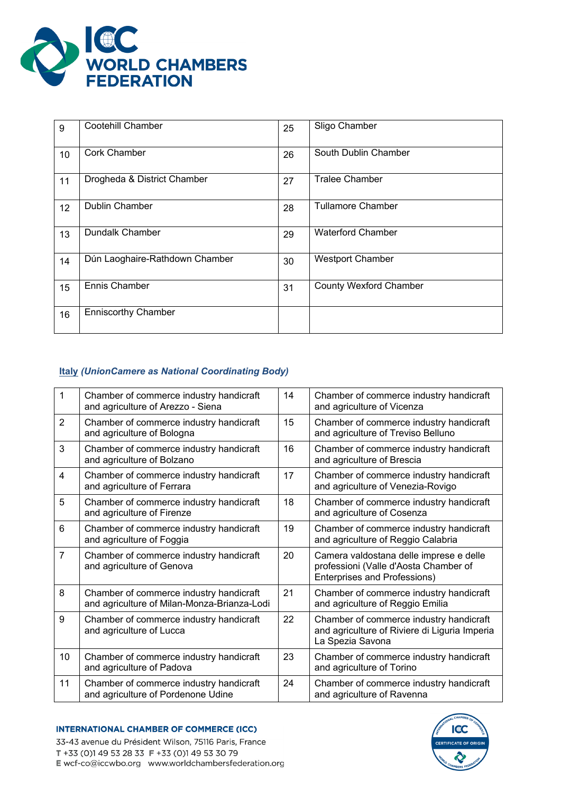

| 9  | <b>Cootehill Chamber</b>       | 25 | Sligo Chamber                 |
|----|--------------------------------|----|-------------------------------|
| 10 | <b>Cork Chamber</b>            | 26 | South Dublin Chamber          |
| 11 | Drogheda & District Chamber    | 27 | <b>Tralee Chamber</b>         |
| 12 | <b>Dublin Chamber</b>          | 28 | <b>Tullamore Chamber</b>      |
| 13 | <b>Dundalk Chamber</b>         | 29 | <b>Waterford Chamber</b>      |
| 14 | Dún Laoghaire-Rathdown Chamber | 30 | <b>Westport Chamber</b>       |
| 15 | Ennis Chamber                  | 31 | <b>County Wexford Chamber</b> |
| 16 | <b>Enniscorthy Chamber</b>     |    |                               |

# **Italy** *(UnionCamere as National Coordinating Body)*

| $\mathbf{1}$   | Chamber of commerce industry handicraft<br>and agriculture of Arezzo - Siena           | 14 | Chamber of commerce industry handicraft<br>and agriculture of Vicenza                                            |
|----------------|----------------------------------------------------------------------------------------|----|------------------------------------------------------------------------------------------------------------------|
| $\overline{2}$ | Chamber of commerce industry handicraft<br>and agriculture of Bologna                  | 15 | Chamber of commerce industry handicraft<br>and agriculture of Treviso Belluno                                    |
| 3              | Chamber of commerce industry handicraft<br>and agriculture of Bolzano                  | 16 | Chamber of commerce industry handicraft<br>and agriculture of Brescia                                            |
| $\overline{4}$ | Chamber of commerce industry handicraft<br>and agriculture of Ferrara                  | 17 | Chamber of commerce industry handicraft<br>and agriculture of Venezia-Rovigo                                     |
| 5              | Chamber of commerce industry handicraft<br>and agriculture of Firenze                  | 18 | Chamber of commerce industry handicraft<br>and agriculture of Cosenza                                            |
| 6              | Chamber of commerce industry handicraft<br>and agriculture of Foggia                   | 19 | Chamber of commerce industry handicraft<br>and agriculture of Reggio Calabria                                    |
| $\overline{7}$ | Chamber of commerce industry handicraft<br>and agriculture of Genova                   | 20 | Camera valdostana delle imprese e delle<br>professioni (Valle d'Aosta Chamber of<br>Enterprises and Professions) |
| 8              | Chamber of commerce industry handicraft<br>and agriculture of Milan-Monza-Brianza-Lodi | 21 | Chamber of commerce industry handicraft<br>and agriculture of Reggio Emilia                                      |
| 9              | Chamber of commerce industry handicraft<br>and agriculture of Lucca                    | 22 | Chamber of commerce industry handicraft<br>and agriculture of Riviere di Liguria Imperia<br>La Spezia Savona     |
| 10             | Chamber of commerce industry handicraft<br>and agriculture of Padova                   | 23 | Chamber of commerce industry handicraft<br>and agriculture of Torino                                             |
| 11             | Chamber of commerce industry handicraft<br>and agriculture of Pordenone Udine          | 24 | Chamber of commerce industry handicraft<br>and agriculture of Ravenna                                            |



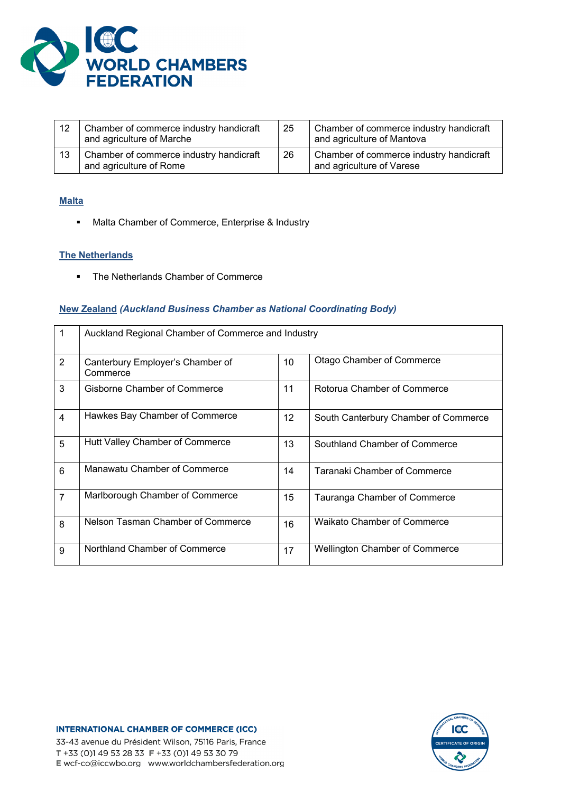

| 12 | Chamber of commerce industry handicraft<br>and agriculture of Marche | 25 | Chamber of commerce industry handicraft<br>and agriculture of Mantova |
|----|----------------------------------------------------------------------|----|-----------------------------------------------------------------------|
| 13 | Chamber of commerce industry handicraft<br>and agriculture of Rome   | 26 | Chamber of commerce industry handicraft<br>and agriculture of Varese  |

# **Malta**

**Malta Chamber of Commerce, Enterprise & Industry** 

#### **The Netherlands**

• The Netherlands Chamber of Commerce

#### **New Zealand** *(Auckland Business Chamber as National Coordinating Body)*

| 1              | Auckland Regional Chamber of Commerce and Industry |                 |                                       |  |
|----------------|----------------------------------------------------|-----------------|---------------------------------------|--|
| $\overline{2}$ | Canterbury Employer's Chamber of<br>Commerce       | 10 <sup>°</sup> | <b>Otago Chamber of Commerce</b>      |  |
| 3              | Gisborne Chamber of Commerce                       | 11              | Rotorua Chamber of Commerce           |  |
| $\overline{4}$ | Hawkes Bay Chamber of Commerce                     | 12              | South Canterbury Chamber of Commerce  |  |
| 5              | Hutt Valley Chamber of Commerce                    | 13              | Southland Chamber of Commerce         |  |
| $6\phantom{1}$ | Manawatu Chamber of Commerce                       | 14              | Taranaki Chamber of Commerce          |  |
| $\overline{7}$ | Marlborough Chamber of Commerce                    | 15              | Tauranga Chamber of Commerce          |  |
| 8              | Nelson Tasman Chamber of Commerce                  | 16              | <b>Waikato Chamber of Commerce</b>    |  |
| 9              | Northland Chamber of Commerce                      | 17              | <b>Wellington Chamber of Commerce</b> |  |

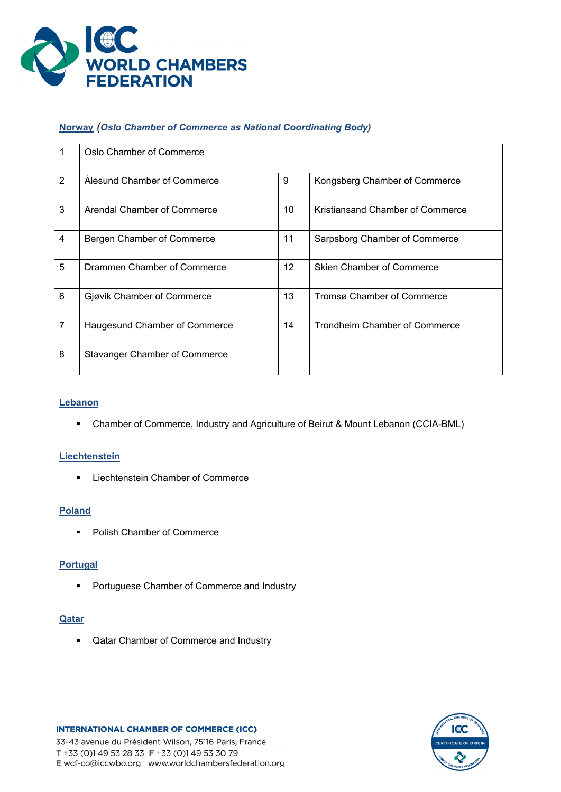

# **Norway** *(Oslo Chamber of Commerce as National Coordinating Body)*

|                | Oslo Chamber of Commerce             |                 |                                  |
|----------------|--------------------------------------|-----------------|----------------------------------|
| 2              | Alesund Chamber of Commerce          | 9               | Kongsberg Chamber of Commerce    |
| 3              | Arendal Chamber of Commerce          | 10              | Kristiansand Chamber of Commerce |
| $\overline{4}$ | Bergen Chamber of Commerce           | 11              | Sarpsborg Chamber of Commerce    |
| 5              | Drammen Chamber of Commerce          | 12 <sup>2</sup> | Skien Chamber of Commerce        |
| 6              | Gjøvik Chamber of Commerce           | 13              | Tromsø Chamber of Commerce       |
| $\overline{7}$ | Haugesund Chamber of Commerce        | 14              | Trondheim Chamber of Commerce    |
| 8              | <b>Stavanger Chamber of Commerce</b> |                 |                                  |

### **Lebanon**

Chamber of Commerce, Industry and Agriculture of Beirut & Mount Lebanon (CCIA-BML)

#### **Liechtenstein**

**EXECUTE: Liechtenstein Chamber of Commerce** 

# **Poland**

**Polish Chamber of Commerce** 

### **Portugal**

**•** Portuguese Chamber of Commerce and Industry

#### **Qatar**

**• Qatar Chamber of Commerce and Industry** 



33-43 avenue du Président Wilson, 75116 Paris, France T +33 (0)1 49 53 28 33 F +33 (0)1 49 53 30 79 E wcf-co@iccwbo.org www.worldchambersfederation.org

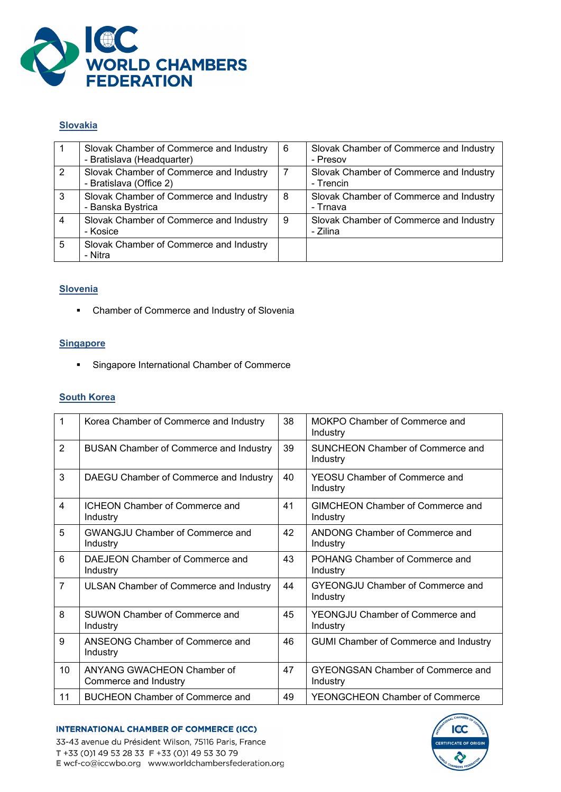

### **Slovakia**

|   | Slovak Chamber of Commerce and Industry<br>- Bratislava (Headquarter) | 6 | Slovak Chamber of Commerce and Industry<br>- Presov  |
|---|-----------------------------------------------------------------------|---|------------------------------------------------------|
| 2 | Slovak Chamber of Commerce and Industry<br>- Bratislava (Office 2)    |   | Slovak Chamber of Commerce and Industry<br>- Trencin |
| 3 | Slovak Chamber of Commerce and Industry<br>- Banska Bystrica          | 8 | Slovak Chamber of Commerce and Industry<br>- Trnava  |
|   | Slovak Chamber of Commerce and Industry<br>- Kosice                   | 9 | Slovak Chamber of Commerce and Industry<br>- Zilina  |
| 5 | Slovak Chamber of Commerce and Industry<br>- Nitra                    |   |                                                      |

# **Slovenia**

Chamber of Commerce and Industry of Slovenia

# **Singapore**

**Singapore International Chamber of Commerce** 

### **South Korea**

| 1              | Korea Chamber of Commerce and Industry              | 38 | MOKPO Chamber of Commerce and<br>Industry            |
|----------------|-----------------------------------------------------|----|------------------------------------------------------|
| $\overline{2}$ | <b>BUSAN Chamber of Commerce and Industry</b>       | 39 | <b>SUNCHEON Chamber of Commerce and</b><br>Industry  |
| 3              | DAEGU Chamber of Commerce and Industry              | 40 | <b>YEOSU Chamber of Commerce and</b><br>Industry     |
| $\overline{4}$ | <b>ICHEON Chamber of Commerce and</b><br>Industry   | 41 | <b>GIMCHEON Chamber of Commerce and</b><br>Industry  |
| 5              | <b>GWANGJU Chamber of Commerce and</b><br>Industry  | 42 | ANDONG Chamber of Commerce and<br>Industry           |
| 6              | DAEJEON Chamber of Commerce and<br>Industry         | 43 | POHANG Chamber of Commerce and<br>Industry           |
| $\overline{7}$ | ULSAN Chamber of Commerce and Industry              | 44 | <b>GYEONGJU Chamber of Commerce and</b><br>Industry  |
| 8              | <b>SUWON Chamber of Commerce and</b><br>Industry    | 45 | YEONGJU Chamber of Commerce and<br>Industry          |
| 9              | ANSEONG Chamber of Commerce and<br>Industry         | 46 | <b>GUMI Chamber of Commerce and Industry</b>         |
| 10             | ANYANG GWACHEON Chamber of<br>Commerce and Industry | 47 | <b>GYEONGSAN Chamber of Commerce and</b><br>Industry |
| 11             | <b>BUCHEON Chamber of Commerce and</b>              | 49 | <b>YEONGCHEON Chamber of Commerce</b>                |



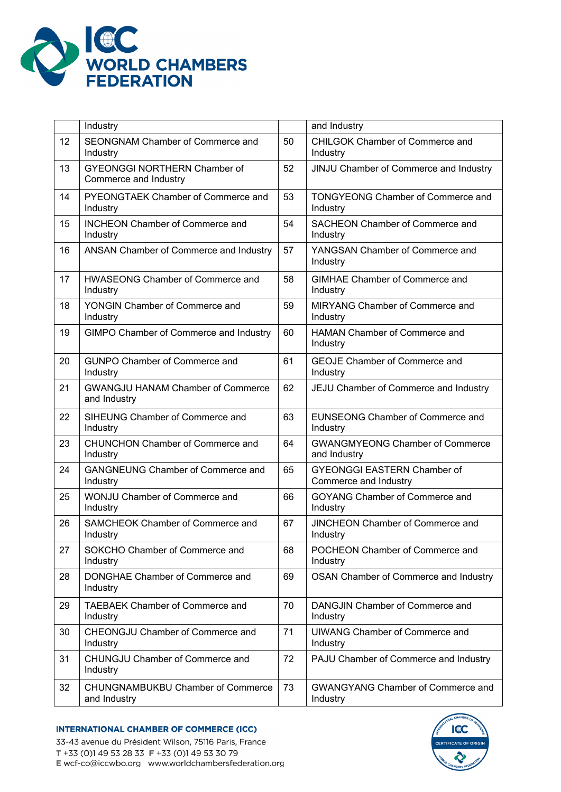

|    | Industry                                                     |    | and Industry                                                |
|----|--------------------------------------------------------------|----|-------------------------------------------------------------|
| 12 | SEONGNAM Chamber of Commerce and<br>Industry                 | 50 | CHILGOK Chamber of Commerce and<br>Industry                 |
| 13 | <b>GYEONGGI NORTHERN Chamber of</b><br>Commerce and Industry | 52 | JINJU Chamber of Commerce and Industry                      |
| 14 | PYEONGTAEK Chamber of Commerce and<br>Industry               | 53 | <b>TONGYEONG Chamber of Commerce and</b><br>Industry        |
| 15 | <b>INCHEON Chamber of Commerce and</b><br>Industry           | 54 | SACHEON Chamber of Commerce and<br>Industry                 |
| 16 | ANSAN Chamber of Commerce and Industry                       | 57 | YANGSAN Chamber of Commerce and<br>Industry                 |
| 17 | HWASEONG Chamber of Commerce and<br>Industry                 | 58 | <b>GIMHAE Chamber of Commerce and</b><br>Industry           |
| 18 | YONGIN Chamber of Commerce and<br>Industry                   | 59 | MIRYANG Chamber of Commerce and<br>Industry                 |
| 19 | GIMPO Chamber of Commerce and Industry                       | 60 | <b>HAMAN Chamber of Commerce and</b><br>Industry            |
| 20 | <b>GUNPO Chamber of Commerce and</b><br>Industry             | 61 | <b>GEOJE Chamber of Commerce and</b><br>Industry            |
| 21 | <b>GWANGJU HANAM Chamber of Commerce</b><br>and Industry     | 62 | JEJU Chamber of Commerce and Industry                       |
| 22 | SIHEUNG Chamber of Commerce and<br>Industry                  | 63 | <b>EUNSEONG Chamber of Commerce and</b><br>Industry         |
| 23 | CHUNCHON Chamber of Commerce and<br>Industry                 | 64 | <b>GWANGMYEONG Chamber of Commerce</b><br>and Industry      |
| 24 | <b>GANGNEUNG Chamber of Commerce and</b><br>Industry         | 65 | <b>GYEONGGI EASTERN Chamber of</b><br>Commerce and Industry |
| 25 | WONJU Chamber of Commerce and<br>Industry                    | 66 | GOYANG Chamber of Commerce and<br>Industry                  |
| 26 | SAMCHEOK Chamber of Commerce and<br>Industry                 | 67 | <b>JINCHEON Chamber of Commerce and</b><br>Industry         |
| 27 | SOKCHO Chamber of Commerce and<br>Industry                   | 68 | POCHEON Chamber of Commerce and<br>Industry                 |
| 28 | DONGHAE Chamber of Commerce and<br>Industry                  | 69 | OSAN Chamber of Commerce and Industry                       |
| 29 | <b>TAEBAEK Chamber of Commerce and</b><br>Industry           | 70 | DANGJIN Chamber of Commerce and<br>Industry                 |
| 30 | CHEONGJU Chamber of Commerce and<br>Industry                 | 71 | <b>UIWANG Chamber of Commerce and</b><br>Industry           |
| 31 | CHUNGJU Chamber of Commerce and<br>Industry                  | 72 | PAJU Chamber of Commerce and Industry                       |
| 32 | CHUNGNAMBUKBU Chamber of Commerce<br>and Industry            | 73 | <b>GWANGYANG Chamber of Commerce and</b><br>Industry        |

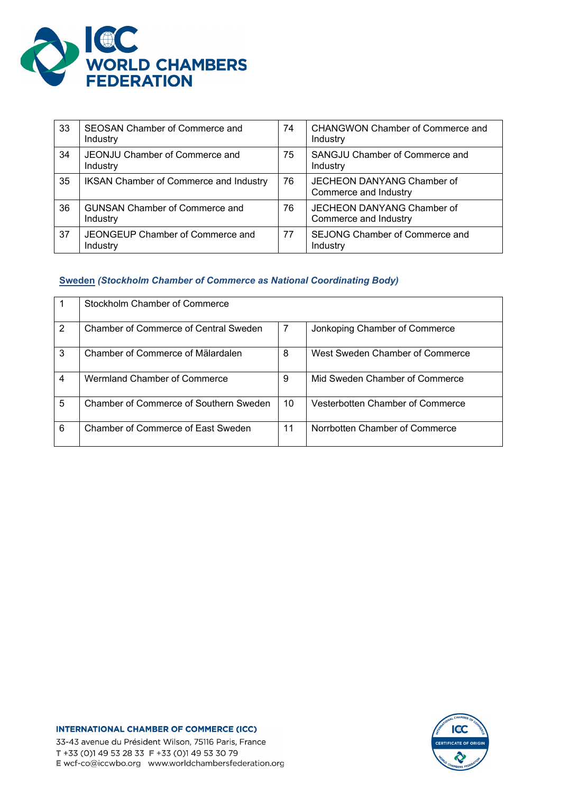

| 33 | SEOSAN Chamber of Commerce and<br>Industry        | 74 | CHANGWON Chamber of Commerce and<br>Industry        |
|----|---------------------------------------------------|----|-----------------------------------------------------|
| 34 | JEONJU Chamber of Commerce and<br>Industry        | 75 | SANGJU Chamber of Commerce and<br>Industry          |
| 35 | <b>IKSAN Chamber of Commerce and Industry</b>     | 76 | JECHEON DANYANG Chamber of<br>Commerce and Industry |
| 36 | <b>GUNSAN Chamber of Commerce and</b><br>Industry | 76 | JECHEON DANYANG Chamber of<br>Commerce and Industry |
| 37 | JEONGEUP Chamber of Commerce and<br>Industry      | 77 | SEJONG Chamber of Commerce and<br>Industry          |

# **Sweden** *(Stockholm Chamber of Commerce as National Coordinating Body)*

|   | Stockholm Chamber of Commerce          |    |                                  |
|---|----------------------------------------|----|----------------------------------|
| 2 | Chamber of Commerce of Central Sweden  | 7  | Jonkoping Chamber of Commerce    |
| 3 | Chamber of Commerce of Mälardalen      | 8  | West Sweden Chamber of Commerce  |
| 4 | Wermland Chamber of Commerce           | 9  | Mid Sweden Chamber of Commerce   |
| 5 | Chamber of Commerce of Southern Sweden | 10 | Vesterbotten Chamber of Commerce |
| 6 | Chamber of Commerce of East Sweden     | 11 | Norrbotten Chamber of Commerce   |

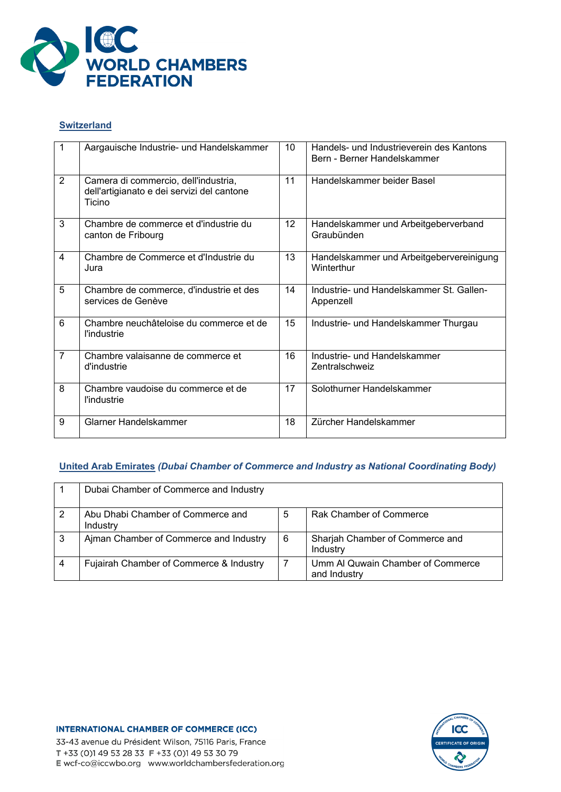

# **Switzerland**

|                | Aargauische Industrie- und Handelskammer                                                     | 10 <sup>°</sup> | Handels- und Industrieverein des Kantons<br>Bern - Berner Handelskammer |
|----------------|----------------------------------------------------------------------------------------------|-----------------|-------------------------------------------------------------------------|
| 2              | Camera di commercio, dell'industria,<br>dell'artigianato e dei servizi del cantone<br>Ticino | 11              | Handelskammer beider Basel                                              |
| 3              | Chambre de commerce et d'industrie du<br>canton de Fribourg                                  | 12              | Handelskammer und Arbeitgeberverband<br>Graubünden                      |
| 4              | Chambre de Commerce et d'Industrie du<br>Jura                                                | 13              | Handelskammer und Arbeitgebervereinigung<br>Winterthur                  |
| 5              | Chambre de commerce, d'industrie et des<br>services de Genève                                | 14              | Industrie- und Handelskammer St. Gallen-<br>Appenzell                   |
| 6              | Chambre neuchâteloise du commerce et de<br><i>l'industrie</i>                                | 15              | Industrie- und Handelskammer Thurgau                                    |
| $\overline{7}$ | Chambre valaisanne de commerce et<br>d'industrie                                             | 16              | Industrie- und Handelskammer<br>Zentralschweiz                          |
| 8              | Chambre vaudoise du commerce et de<br><i>l'industrie</i>                                     | 17              | Solothurner Handelskammer                                               |
| 9              | Glarner Handelskammer                                                                        | 18              | Zürcher Handelskammer                                                   |

# **United Arab Emirates** *(Dubai Chamber of Commerce and Industry as National Coordinating Body)*

|   | Dubai Chamber of Commerce and Industry        |   |                                                   |
|---|-----------------------------------------------|---|---------------------------------------------------|
|   | Abu Dhabi Chamber of Commerce and<br>Industry | 5 | Rak Chamber of Commerce                           |
| 3 | Ajman Chamber of Commerce and Industry        | 6 | Sharjah Chamber of Commerce and<br>Industry       |
|   | Fujairah Chamber of Commerce & Industry       |   | Umm Al Quwain Chamber of Commerce<br>and Industry |

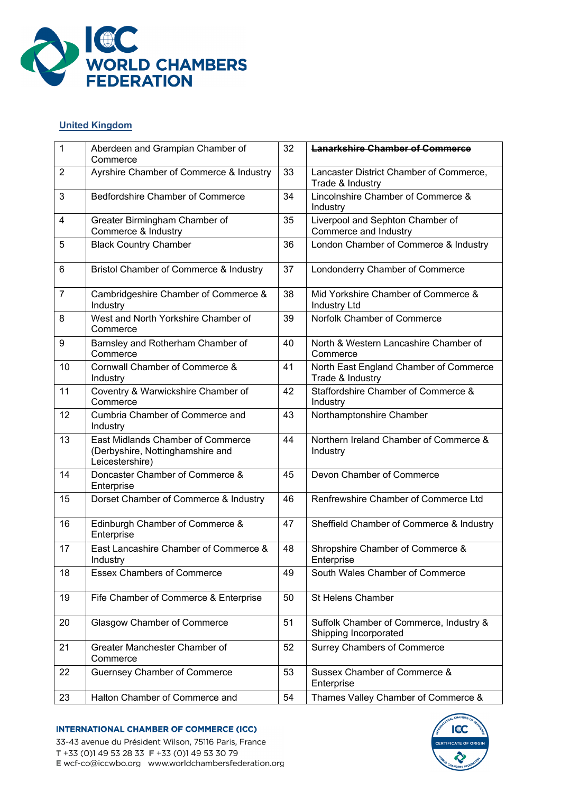

# **United Kingdom**

| $\mathbf 1$    | Aberdeen and Grampian Chamber of<br>Commerce                                             | 32 | <b>Lanarkshire Chamber of Commerce</b>                           |
|----------------|------------------------------------------------------------------------------------------|----|------------------------------------------------------------------|
| 2              | Ayrshire Chamber of Commerce & Industry                                                  | 33 | Lancaster District Chamber of Commerce,<br>Trade & Industry      |
| 3              | <b>Bedfordshire Chamber of Commerce</b>                                                  | 34 | Lincolnshire Chamber of Commerce &<br>Industry                   |
| 4              | Greater Birmingham Chamber of<br>Commerce & Industry                                     | 35 | Liverpool and Sephton Chamber of<br>Commerce and Industry        |
| 5              | <b>Black Country Chamber</b>                                                             | 36 | London Chamber of Commerce & Industry                            |
| 6              | Bristol Chamber of Commerce & Industry                                                   | 37 | Londonderry Chamber of Commerce                                  |
| $\overline{7}$ | Cambridgeshire Chamber of Commerce &<br>Industry                                         | 38 | Mid Yorkshire Chamber of Commerce &<br><b>Industry Ltd</b>       |
| 8              | West and North Yorkshire Chamber of<br>Commerce                                          | 39 | Norfolk Chamber of Commerce                                      |
| 9              | Barnsley and Rotherham Chamber of<br>Commerce                                            | 40 | North & Western Lancashire Chamber of<br>Commerce                |
| 10             | Cornwall Chamber of Commerce &<br>Industry                                               | 41 | North East England Chamber of Commerce<br>Trade & Industry       |
| 11             | Coventry & Warwickshire Chamber of<br>Commerce                                           | 42 | Staffordshire Chamber of Commerce &<br>Industry                  |
| 12             | Cumbria Chamber of Commerce and<br>Industry                                              | 43 | Northamptonshire Chamber                                         |
| 13             | East Midlands Chamber of Commerce<br>(Derbyshire, Nottinghamshire and<br>Leicestershire) | 44 | Northern Ireland Chamber of Commerce &<br>Industry               |
| 14             | Doncaster Chamber of Commerce &<br>Enterprise                                            | 45 | Devon Chamber of Commerce                                        |
| 15             | Dorset Chamber of Commerce & Industry                                                    | 46 | Renfrewshire Chamber of Commerce Ltd                             |
| 16             | Edinburgh Chamber of Commerce &<br>Enterprise                                            | 47 | Sheffield Chamber of Commerce & Industry                         |
| 17             | East Lancashire Chamber of Commerce &<br>Industry                                        | 48 | Shropshire Chamber of Commerce &<br>Enterprise                   |
| 18             | <b>Essex Chambers of Commerce</b>                                                        | 49 | South Wales Chamber of Commerce                                  |
| 19             | Fife Chamber of Commerce & Enterprise                                                    | 50 | St Helens Chamber                                                |
| 20             | <b>Glasgow Chamber of Commerce</b>                                                       | 51 | Suffolk Chamber of Commerce, Industry &<br>Shipping Incorporated |
| 21             | Greater Manchester Chamber of<br>Commerce                                                | 52 | <b>Surrey Chambers of Commerce</b>                               |
| 22             | <b>Guernsey Chamber of Commerce</b>                                                      | 53 | Sussex Chamber of Commerce &<br>Enterprise                       |
| 23             | Halton Chamber of Commerce and                                                           | 54 | Thames Valley Chamber of Commerce &                              |